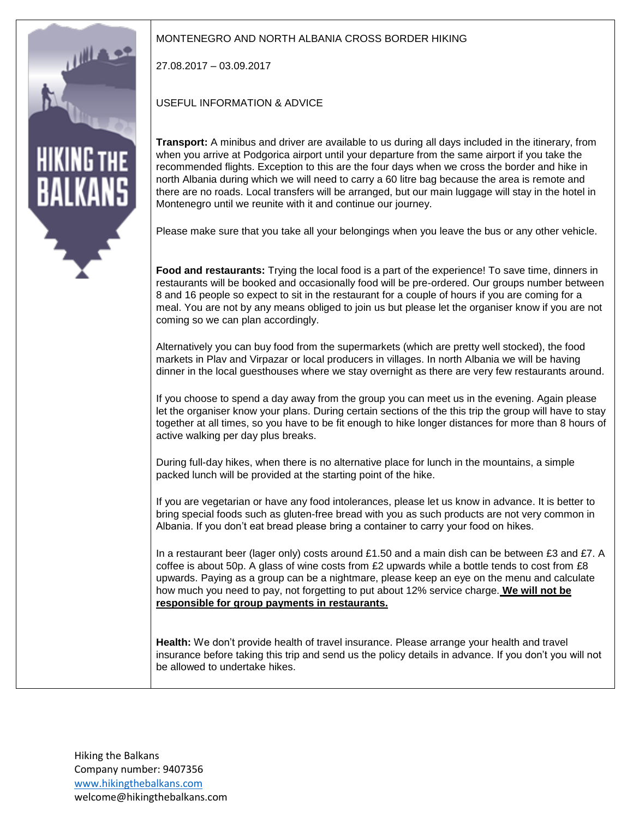

## MONTENEGRO AND NORTH ALBANIA CROSS BORDER HIKING

27.08.2017 – 03.09.2017

USEFUL INFORMATION & ADVICE

**Transport:** A minibus and driver are available to us during all days included in the itinerary, from when you arrive at Podgorica airport until your departure from the same airport if you take the recommended flights. Exception to this are the four days when we cross the border and hike in north Albania during which we will need to carry a 60 litre bag because the area is remote and there are no roads. Local transfers will be arranged, but our main luggage will stay in the hotel in Montenegro until we reunite with it and continue our journey.

Please make sure that you take all your belongings when you leave the bus or any other vehicle.

**Food and restaurants:** Trying the local food is a part of the experience! To save time, dinners in restaurants will be booked and occasionally food will be pre-ordered. Our groups number between 8 and 16 people so expect to sit in the restaurant for a couple of hours if you are coming for a meal. You are not by any means obliged to join us but please let the organiser know if you are not coming so we can plan accordingly.

Alternatively you can buy food from the supermarkets (which are pretty well stocked), the food markets in Plav and Virpazar or local producers in villages. In north Albania we will be having dinner in the local guesthouses where we stay overnight as there are very few restaurants around.

If you choose to spend a day away from the group you can meet us in the evening. Again please let the organiser know your plans. During certain sections of the this trip the group will have to stay together at all times, so you have to be fit enough to hike longer distances for more than 8 hours of active walking per day plus breaks.

During full-day hikes, when there is no alternative place for lunch in the mountains, a simple packed lunch will be provided at the starting point of the hike.

If you are vegetarian or have any food intolerances, please let us know in advance. It is better to bring special foods such as gluten-free bread with you as such products are not very common in Albania. If you don't eat bread please bring a container to carry your food on hikes.

In a restaurant beer (lager only) costs around £1.50 and a main dish can be between £3 and £7. A coffee is about 50p. A glass of wine costs from £2 upwards while a bottle tends to cost from £8 upwards. Paying as a group can be a nightmare, please keep an eye on the menu and calculate how much you need to pay, not forgetting to put about 12% service charge. **We will not be responsible for group payments in restaurants.**

**Health:** We don't provide health of travel insurance. Please arrange your health and travel insurance before taking this trip and send us the policy details in advance. If you don't you will not be allowed to undertake hikes.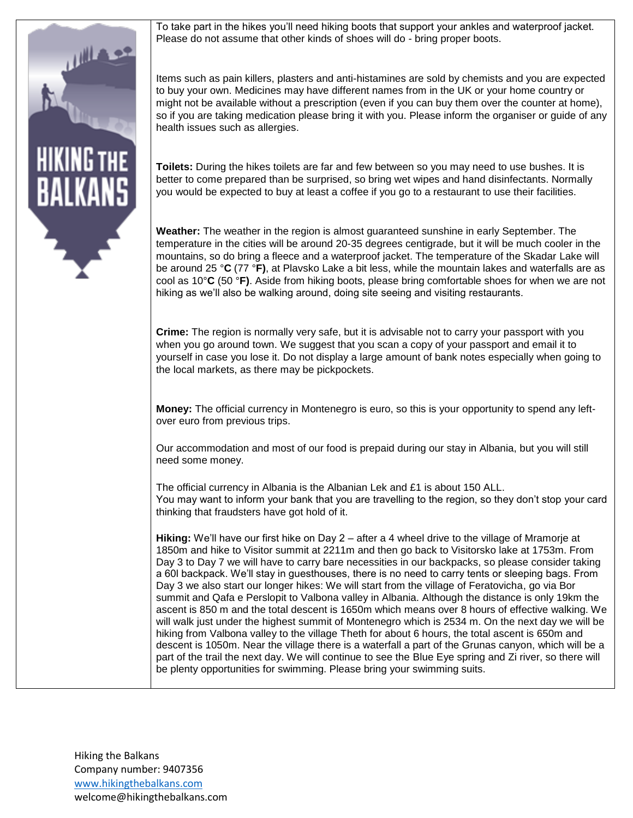To take part in the hikes you'll need hiking boots that support your ankles and waterproof jacket. Please do not assume that other kinds of shoes will do - bring proper boots.

Items such as pain killers, plasters and anti-histamines are sold by chemists and you are expected to buy your own. Medicines may have different names from in the UK or your home country or might not be available without a prescription (even if you can buy them over the counter at home), so if you are taking medication please bring it with you. Please inform the organiser or guide of any health issues such as allergies.

**Toilets:** During the hikes toilets are far and few between so you may need to use bushes. It is better to come prepared than be surprised, so bring wet wipes and hand disinfectants. Normally you would be expected to buy at least a coffee if you go to a restaurant to use their facilities.

**Weather:** The weather in the region is almost guaranteed sunshine in early September. The temperature in the cities will be around 20-35 degrees centigrade, but it will be much cooler in the mountains, so do bring a fleece and a waterproof jacket. The temperature of the Skadar Lake will be around 25 °**C** (77 °**F)**, at Plavsko Lake a bit less, while the mountain lakes and waterfalls are as cool as 10°**C** (50 °**F)**. Aside from hiking boots, please bring comfortable shoes for when we are not hiking as we'll also be walking around, doing site seeing and visiting restaurants.

**Crime:** The region is normally very safe, but it is advisable not to carry your passport with you when you go around town. We suggest that you scan a copy of your passport and email it to yourself in case you lose it. Do not display a large amount of bank notes especially when going to the local markets, as there may be pickpockets.

**Money:** The official currency in Montenegro is euro, so this is your opportunity to spend any leftover euro from previous trips.

Our accommodation and most of our food is prepaid during our stay in Albania, but you will still need some money.

The official currency in Albania is the Albanian Lek and £1 is about 150 ALL. You may want to inform your bank that you are travelling to the region, so they don't stop your card thinking that fraudsters have got hold of it.

**Hiking:** We'll have our first hike on Day 2 – after a 4 wheel drive to the village of Mramorje at 1850m and hike to Visitor summit at 2211m and then go back to Visitorsko lake at 1753m. From Day 3 to Day 7 we will have to carry bare necessities in our backpacks, so please consider taking a 60l backpack. We'll stay in guesthouses, there is no need to carry tents or sleeping bags. From Day 3 we also start our longer hikes: We will start from the village of Feratovicha, go via Bor summit and Qafa e Perslopit to Valbona valley in Albania. Although the distance is only 19km the ascent is 850 m and the total descent is 1650m which means over 8 hours of effective walking. We will walk just under the highest summit of Montenegro which is 2534 m. On the next day we will be hiking from Valbona valley to the village Theth for about 6 hours, the total ascent is 650m and descent is 1050m. Near the village there is a waterfall a part of the Grunas canyon, which will be a part of the trail the next day. We will continue to see the Blue Eye spring and Zi river, so there will be plenty opportunities for swimming. Please bring your swimming suits.

Hiking the Balkans Company number: 9407356 [www.hikingthebalkans.com](http://www.hikingthebalkans.com/) welcome@hikingthebalkans.com

HIKING T